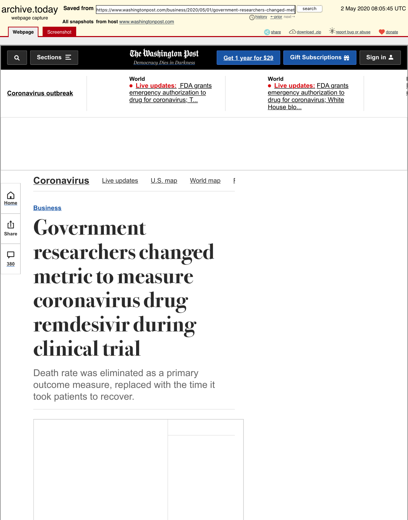**Business**



### $\Box$ **380**

# **[Go](http://archive.today/)[ve](http://archive.is/ZGq0e/image)rnm[ent](http://archive.is/www.washingtonpost.com) researche[rs change](https://archive.is/o/ZGq0e/https://www.washingtonpost.com/)d metric to measure [corona](https://archive.is/o/ZGq0e/https://www.washingtonpost.com/coronavirus/)vir[us drug](https://archive.is/o/ZGq0e/https://www.washingtonpost.com/world/2020/05/02/coronavirus-latest-news/?itid=mc_magnet-coronavirus_1) remdesivir during clinical trial**

Death rate was eliminated as a primary [outcome mea](https://archive.is/o/ZGq0e/https://www.washingtonpost.com/topics/coronavirus)su[re, replac](https://archive.is/o/ZGq0e/https://www.washingtonpost.com/coronavirus/)e[d with th](https://archive.is/o/ZGq0e/https://www.washingtonpost.com/graphics/2020/national/coronavirus-us-cases-deaths/)e [time it](https://archive.is/o/ZGq0e/https://www.washingtonpost.com/graphics/2020/world/mapping-spread-new-coronavirus/) took patients to recover.

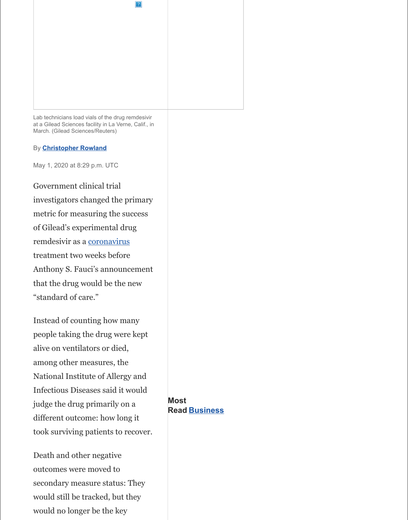metric for measuring the success of Gilead's experimental drug remdesivir as a coronavirus treatment two weeks before Anthony S. Fauci's announcement that the drug would be the new "standard of care."

Instead of counting how many people taking the drug were kept ali[ve on ventilators or](https://archive.is/o/ZGq0e/https://www.washingtonpost.com/people/christopher-rowland/) died, among other measures, the National Institute of Allergy and Infectious Diseases said it would judge the drug primarily on a different outcome: how long it took surviving patients to recover.

Death and othe[r negative](https://archive.is/o/ZGq0e/https://www.washingtonpost.com/health/2020/02/28/what-you-need-know-about-coronavirus/?tid=lk_inline_manual_2&itid=lk_inline_manual_2) outcomes were moved to secondary measure status: They would still be tracked, but they would no longer be the key

**Most Read Business**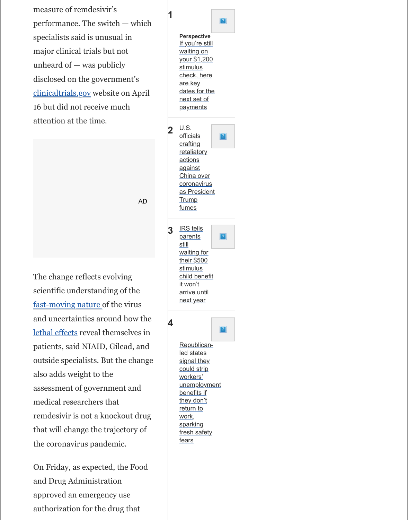The change reflects evolving scientific understanding of the [fast-moving natu](https://archive.is/o/ZGq0e/https://clinicaltrials.gov/ct2/show/NCT04280705?term=remdesivir&draw=2&rank=9)re of the virus and uncertainties around how the lethal effects reveal themselves in patients, said NIAID, Gilead, and outside specialists. But the change also adds weight to the assessment of government and medical researchers that remdesivir is not a knockout drug that will change the trajectory of the coronavirus pandemic.

On Friday, as expected, the Food and Drug Administration approved an emergency use [authorization for the](https://archive.is/o/ZGq0e/https://www.washingtonpost.com/graphics/2020/world/corona-simulator/?tid=lk_inline_manual_7&itid=lk_inline_manual_7) drug that

|   | fumes                                       |                |
|---|---------------------------------------------|----------------|
| 3 | <b>IRS tells</b><br><u>parents</u><br>still | $\overline{?}$ |
|   | waiting for                                 |                |
|   | their \$500                                 |                |
|   | stimulus<br>child benefit                   |                |
|   | <u>it won't</u>                             |                |
|   | arrive until                                |                |
|   | <u>next year</u>                            |                |
|   |                                             |                |
|   |                                             | ?              |
|   | Republican-                                 |                |
|   | led states                                  |                |
|   | signal they                                 |                |
|   | could strip                                 |                |
|   | workers'                                    |                |
|   | unemployment                                |                |
|   | benefits if                                 |                |
|   | they don't<br>return to                     |                |
|   | work,                                       |                |
|   | <u>sparking</u>                             |                |
|   | fresh safety                                |                |

fears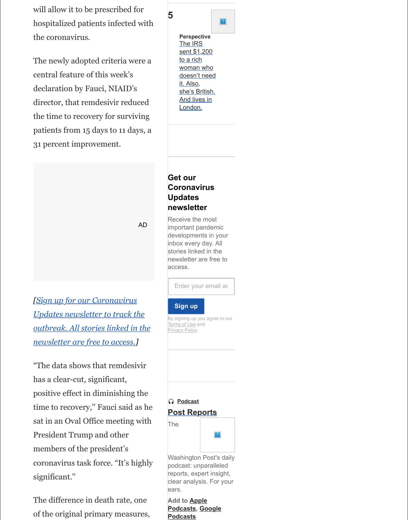#### **newsletter**

Receive the most important pandemic developments i[n your](https://archive.is/o/ZGq0e/https://www.washingtonpost.com/business/2020/05/01/irs-sent-1200-rich-woman-who-doesnt-need-it-also-shes-british-lives-london/?tid=mr_business_5&itid=mr_business_5) inbox every day. All stories linked in the newsletter are free to access.

Enter your email ac

#### **Sign up**

By signing up you agree to our Terms of Use and Privacy Policy

"The data shows that remdesivir has a clear-cut, significant, positive effect in diminishing the time to recovery,'' Fauci said as he sat in an Oval Office meeting with President Trump and other members of the president's coronavirus task force. "It's highly significant.''

*[Sign up for our Coronavirus*

*Updates newsletter to track the*

*newsletter are free to access.]*

*outbreak. All stories linked in the*

The difference in death rate, one [of the original primary measures,](https://archive.is/o/ZGq0e/https://subscribe.washingtonpost.com/newsletters/%23/bundle/health?method=SURL&location=ART_IS&tid=lk_interstitial_manual_12&itid=lk_interstitial_manual_12)

| n Podcast           |  |  |  |  |  |
|---------------------|--|--|--|--|--|
| <b>Post Reports</b> |  |  |  |  |  |
| The                 |  |  |  |  |  |
|                     |  |  |  |  |  |

Washington Post's daily podcast: unparalleled reports, expert insight, clear analysis. For your ears.

**Add to Apple Podcasts, Google Podcasts**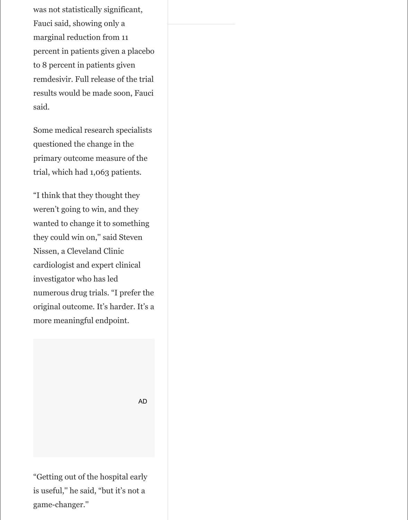was not statistically significant, Fauci said, showing only a marginal reduction from 11 percent in patients given a placebo to 8 percent in patients given remdesivir. Full release of the trial results would be made soon, Fauci said.

Some medical research specialists questioned the change in the primary outcome measure of the trial, which had 1,063 patients.

"I think that they thought they weren't going to win, and they wanted to change it to something they could win on,'' said Steven Nissen, a Cleveland Clinic cardiologist and expert clinical investigator who has led numerous drug trials. "I prefer the original outcome. It's harder. It's a more meaningful endpoint.

"Getting out of the hospital early is useful,'' he said, "but it's not a game-changer.''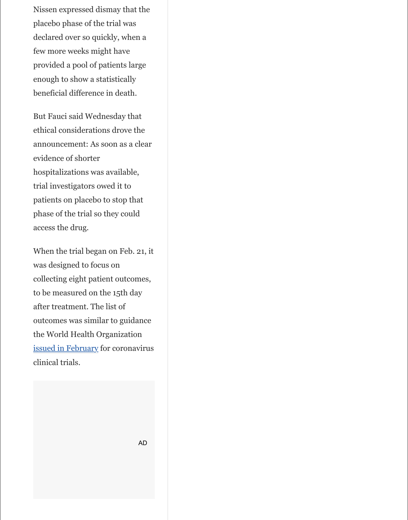phase of the trial so they could access the drug.

When the trial began on Feb. 21, it was designed to focus on collecting eight patient outcomes, to be measured on the 15th day after treatment. The list of outcomes was similar to guidance the World Health Organization issued in February for coronavirus clinical trials.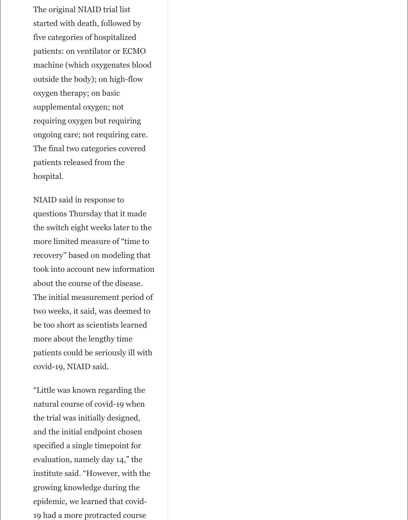The original NIAID trial list started with death, followed by five categories of hospitalized patients: on ventilator or ECMO machine (which oxygenates blood outside the body); on high-flow oxygen therapy; on basic supplemental oxygen; not requiring oxygen but requiring ongoing care; not requiring care. The final two categories covered patients released from the hospital.

NIAID said in response to questions Thursday that it made the switch eight weeks later to the more limited measure of "time to recovery'' based on modeling that took into account new information about the course of the disease. The initial measurement period of two weeks, it said, was deemed to be too short as scientists learned more about the lengthy time patients could be seriously ill with

covid-19, NIAID said.

"Little was known regarding the natural course of covid-19 when the trial was initially designed, and the initial endpoint chosen specified a single timepoint for evaluation, namely day 14," the institute said. "However, with the growing knowledge during the epidemic, we learned that covid-19 had a more protracted course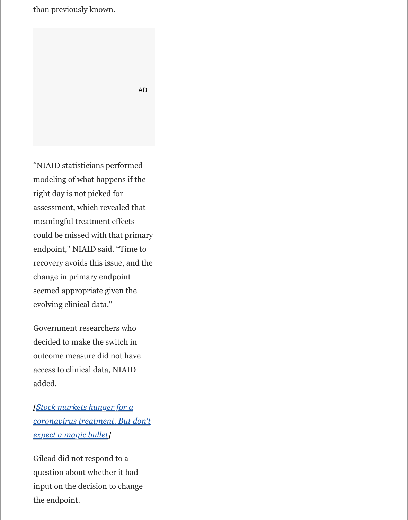assessment, which revealed that meaningful treatment effects could be missed with that primary endpoint,'' NIAID said. "Time to recovery avoids this issue, and the change in primary endpoint seemed appropriate given the evolving clinical data.''

Government researchers who decided to make the switch in outcome measure did not have access to clinical data, NIAID added.

*[Stock markets hunger for a coronavirus treatment. But don't expect a magic bullet]*

Gilead did not respond to a question about whether it had input on the decision to change the endpoint.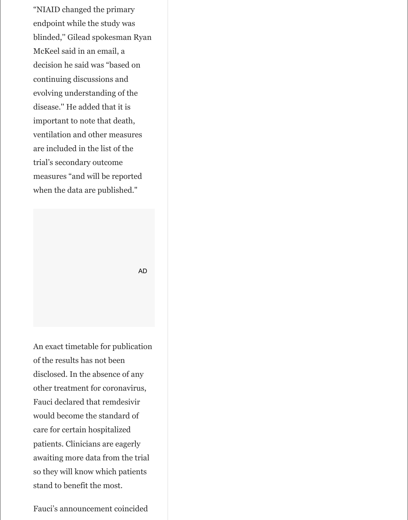"NIAID changed the primary endpoint while the study was blinded,'' Gilead spokesman Ryan McKeel said in an email, a decision he said was "based on continuing discussions and evolving understanding of the disease.'' He added that it is important to note that death, ventilation and other measures are included in the list of the trial's secondary outcome measures "and will be reported when the data are published."

An exact timetable for publication

of the results has not been disclosed. In the absence of any other treatment for coronavirus, Fauci declared that remdesivir would become the standard of care for certain hospitalized patients. Clinicians are eagerly awaiting more data from the trial so they will know which patients stand to benefit the most.

Fauci's announcement coincided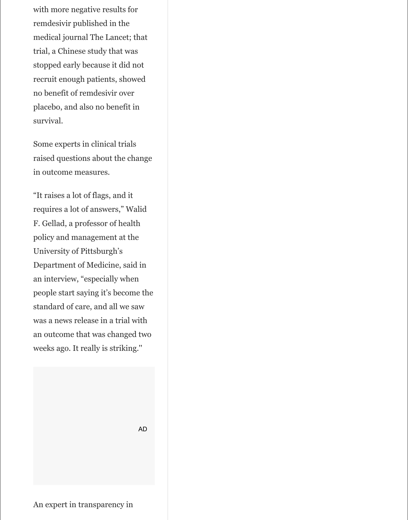with more negative results for remdesivir published in the medical journal The Lancet; that trial, a Chinese study that was stopped early because it did not recruit enough patients, showed no benefit of remdesivir over placebo, and also no benefit in survival.

Some experts in clinical trials raised questions about the change in outcome measures.

"It raises a lot of flags, and it requires a lot of answers," Walid F. Gellad, a professor of health policy and management at the University of Pittsburgh's Department of Medicine, said in an interview, "especially when people start saying it's become the standard of care, and all we saw was a news release in a trial with an outcome that was changed two weeks ago. It really is striking.''

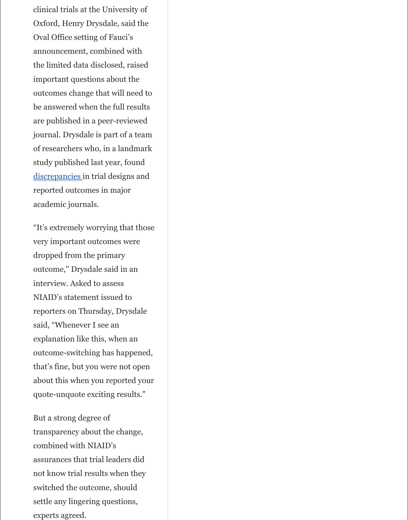academic journals.

"It's extremely worrying that those very important outcomes were dropped from the primary outcome,'' Drysdale said in an interview. Asked to assess NIAID's statement issued to reporters on Thursday, Drysdale said, "Whenever I see an explanation like this, when an outcome-switching has happened, that's fine, but you were not open [about this whe](https://archive.is/o/ZGq0e/https://trialsjournal.biomedcentral.com/articles/10.1186/s13063-019-3173-2)n you reported your quote-unquote exciting results."

But a strong degree of transparency about the change, combined with NIAID's assurances that trial leaders did not know trial results when they switched the outcome, should settle any lingering questions, experts agreed.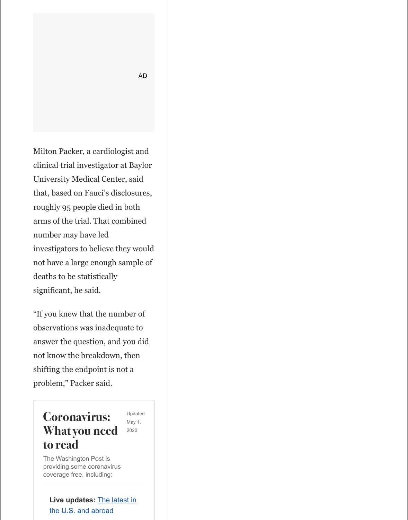roughly 95 people died in both arms of the trial. That combined number may have led investigators to believe they would not have a large enough sample of deaths to be statistically significant, he said.

"If you knew that the number of observations was inadequate to answer the question, and you did not know the breakdown, then shifting the endpoint is not a problem," Packer said.

## **Coronavirus: What you need to read**

Updated May 1, 2020

The Washington Post is providing some coronavirus coverage free, including:

### **Live updates:** The latest in

the U.S. and abroad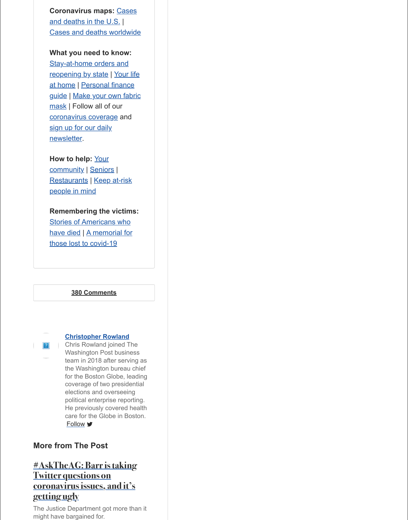### **Remembering the victims:**

[Stories of Americans who](https://archive.is/o/ZGq0e/https://www.washingtonpost.com/graphics/2020/national/coronavirus-us-cases-deaths/?itid=lb_coronavirus-what-you-need-to-read_2) [have died | A memorial for](https://archive.is/o/ZGq0e/https://www.washingtonpost.com/world/2020/01/22/mapping-spread-new-coronavirus/?arc404=true&itid=lb_coronavirus-what-you-need-to-read_3) those lost to covid-19

### **[380 Comments](https://archive.is/o/ZGq0e/https://www.washingtonpost.com/business/2020/04/17/your-money-pandemic/?itid=lb_coronavirus-what-you-need-to-read_6)**



### **[Christopher Row](https://archive.is/o/ZGq0e/https://subscribe.washingtonpost.com/newsletters/%23/bundle/health?method=SURL&location=ART&itid=lb_coronavirus-what-you-need-to-read_9)land**

Chris Rowland joined The Washington Post business team in 2018 after serving as [the Washington](https://archive.is/o/ZGq0e/https://www.washingtonpost.com/nation/2020/03/21/how-you-can-help-during-coronavirus/?arc404=true&itid=lb_coronavirus-what-you-need-to-read_10) bureau chief for the B[oston Glo](https://archive.is/o/ZGq0e/https://www.washingtonpost.com/health/2020/03/11/coronavirus-seniors-help/?itid=lb_coronavirus-what-you-need-to-read_11)be, leading [coverage](https://archive.is/o/ZGq0e/https://www.washingtonpost.com/news/voraciously/wp/2020/03/18/gift-cards-merchandise-and-to-go-orders-heres-how-restaurants-say-customers-should-support-them/?itid=lb_coronavirus-what-you-need-to-read_12) of two presidential [elections and overseeing](https://archive.is/o/ZGq0e/https://www.washingtonpost.com/local/volunteering-and-coronavirus-when-helping-people-could-mean-putting-them-at-risk/2020/03/17/37755f04-6864-11ea-b313-df458622c2cc_story.html?itid=lb_coronavirus-what-you-need-to-read_13) political enterprise reporting. He previously covered health care for the Globe in Boston. [Follow](https://archive.is/o/ZGq0e/https://www.washingtonpost.com/health/2020/04/24/coronavirus-dead-victims-stories/?arc404=true&itid=lb_coronavirus-what-you-need-to-read_14) **y** 

### **Mor[e from The Post](https://archive.is/o/ZGq0e/https://www.washingtonpost.com/graphics/2020/national/reader-memorial-coronavirus-victims/?itid=lb_coronavirus-what-you-need-to-read_15)**

### **#AskTheAG: Barr is taking Twitter questions on coronavirus issues, and it's g[etting ugly](#page-15-0)**

The Justice Department got more than it might have bargained for.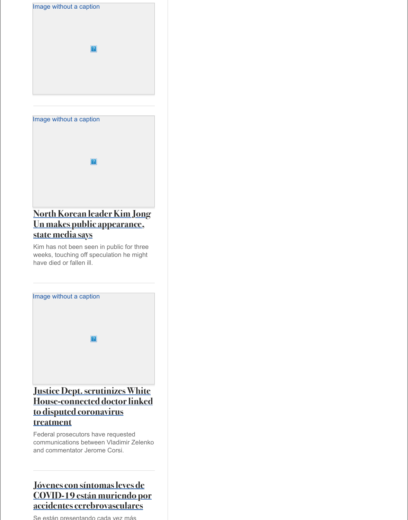### **[North Korean leader Kim Jong](https://archive.is/o/ZGq0e/https://www.washingtonpost.com/nation/2020/04/30/barr-coronavirus-twitter-questions/?tid=pr_hybrid_experimentrandom_with_top_mostshared_1_na-ans_1&itid=pr_hybrid_experimentrandom_with_top_mostshared_1_na-ans_1) Un makes public appearance, state media says**

Kim has not been seen in public for three weeks, touching off speculation he might have died or fallen ill.



### **Justice Dept. scrutinizes White [House-connected doctor linked](https://archive.is/o/ZGq0e/https://www.washingtonpost.com/world/asia_pacific/north-korean-leader-kim-jong-un-makes-public-appearance-state-media-says/2020/05/01/f9c8a830-8bf1-11ea-80df-d24b35a568ae_story.html?tid=pr_hybrid_experimentrandom_with_top_mostshared_2_na-ans_2&itid=pr_hybrid_experimentrandom_with_top_mostshared_2_na-ans_2) to disputed coronavirus treatment**

Federal prosecutors have requested communications between Vladimir Zelenko and commentator Jerome Corsi.

### **Jóvenes con síntomas leves de COVID-19 están muriendo por [accidentes cerebrovasculares](https://archive.is/o/ZGq0e/https://www.washingtonpost.com/politics/vladimir-zev-zelenko-fox-news-trump-hydroxychloroquine-jerome-corsi/2020/04/30/82622456-8af2-11ea-ac8a-fe9b8088e101_story.html?tid=pr_hybrid_experimentrandom_with_top_mostshared_3_na-ans_3&itid=pr_hybrid_experimentrandom_with_top_mostshared_3_na-ans_3)**

Se están presentando cada vez más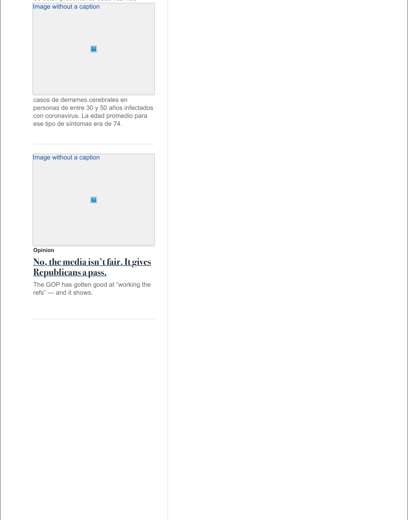### **Opinion**

### **[No, the media isn't fair. It gives](https://archive.is/o/ZGq0e/https://www.washingtonpost.com/es/tablet/2020/04/28/jovenes-con-sntomas-leves-de-covid-19-estn-muriendo-por-accidentes-cerebrovasculares/?tid=pr_hybrid_experimentrandom_with_top_mostshared_4_na-ans_4&itid=pr_hybrid_experimentrandom_with_top_mostshared_4_na-ans_4) Republicans a pass.**

The GOP has gotten good at "working the refs" — and it shows.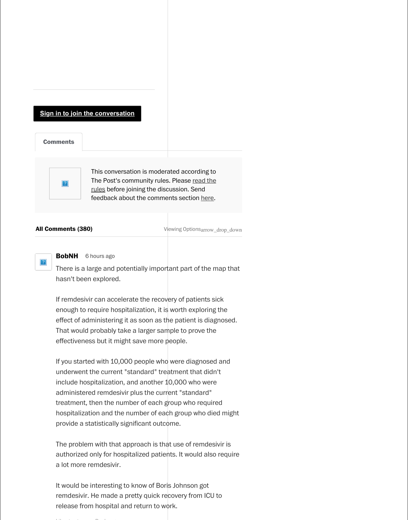

6 hours ago **BobNH**

There is a large and potentially important part of the map that hasn't been explored.

<span id="page-15-0"></span>If remdesivir can accelerate the recovery of patients sick enough to require hospitalization, it is worth exploring the [effect of administering it as s](https://archive.is/o/ZGq0e/https://www.washingtonpost.com/business/2020/05/01/government-researchers-changed-metric-measure-coronavirus-drug-remdesivir-during-clinical-trial/%20https://www.washingtonpost.com/subscribe/signin/?next_url=https://www.washingtonpost.com/business/2020/05/01/government-researchers-changed-metric-measure-coronavirus-drug-remdesivir-during-clinical-trial/)oon as the patient is diagnosed. That would probably take a larger sample to prove the effectiveness but it might save more people.

If you started with 10,000 people who were diagnosed and underwent the current "standard" treatment that didn't include hospitalization, and another 10,000 who were administer[ed remdesivir plus the current "standard"](https://archive.is/o/ZGq0e/https://www.washingtonpost.com/discussions/2020/04/13/community-rules/) treatment, then the number of each group who r[equir](https://archive.is/o/ZGq0e/https://helpcenter.washingtonpost.com/hc/en-us/requests/new?ticket_form_id=114094010092)ed hospitalization and the number of each group who died might provide a statistically significant outcome.

The problem with that approach is that use of remdesivir is authorized only for hospitalized patients. It would also require a lot more remdesivir.

It would be interesting to know of Boris Johnson got remdesivir. He made a pretty quick recovery from ICU to release from hospital and return to work.

Like thumb\_up Reply reply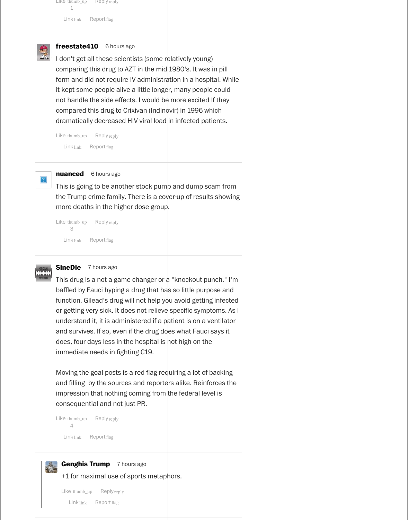```
Like thumb_up
      3
                Reply reply
  Link link Report flag
```


I don't get all these scientists (some relatively young) comparing this drug to AZT in the mid 1980's. It was in pill form and did not require IV administration in a hospital. While it kept some people alive a little longer, many people could not handle the side effects. I would be more excited If they compared this drug to Crixivan (Indinovir) in 1996 which dramatically decreased HIV viral load in infected patients.

Like thumb\_up Reply reply Link link Report flag



**nuanced** 6 hours ago

```
Like thumb_up
Reply reply
     1
  Link link Report flag
```


#### 6 hours ago **freestate410**

Like thumb\_up Reply reply 4 Link link Report flag **Genghis Trump** 7 hours ago R +1 for maximal use of sports metaphors. Like thumb\_up Reply reply Link link Report flag

This drug is a not a game changer or  $a^{\dagger}$  "knockout punch." I'm baffled by Fauci hyping a drug that has so little purpose and function. Gilead's drug will not help you avoid getting infected or getting very sick. It does not relieve specific symptoms. As I understand it, it is administered if a patient is on a ventilator and survives. If so, even if the drug does what Fauci says it does, four days less in the hospital is not high on the immediate needs in fighting C19.

This is going to be another stock pump and dump scam from the Trump crime family. There is a cover-up of results showing more deaths in the higher dose group.

#### 7 hours ago **SineDie**

Moving the goal posts is a red flag requiring a lot of backing and filling by the sources and reporters alike. Reinforces the impression that nothing coming from the federal level is consequential and not just PR.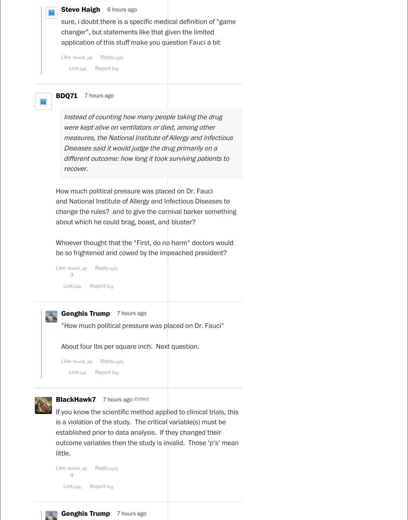#### **Steve Haigh** 6 hours ago

sure, i doubt there is a specific medical definition of "game changer", but statements like that given the limited application of this stuff make you question Fauci a bit

Like thumb\_up Reply reply Link link Report flag



BDQ71 7 hours ago

Instead of counting how many people taking the drug were kept alive on ventilators or died, among other measures, the National Institute of Allergy and Infectious Diseases said it would judge the drug primarily on a different outcome: how long it took surviving patients to recover.

Whoever thought that the "First, do no harm" doctors would be so frightened and cowed by the impeached president?

```
Like thumb_up
      3
                Reply reply
   Link link Report flag
```


### **Genghis Trump** 7 hours ago

How much political pressure was placed on Dr. Fauci and National Institute of Allergy and Infectious Diseases to change the rules? and to give the carnival barker something about which he could brag, boast, and bluster?

"How much political pressure was placed on Dr. Fauci"

About four lbs per square inch. Next question.

| Like thumb_up | Reply reply |
|---------------|-------------|
|---------------|-------------|

Link link Report flag



### **BlackHawk7** 7 hours ago (Edited)

If you know the scientific method applied to clinical trials, this is a violation of the study. The critical variable(s) must be established prior to data analysis. If they changed their outcome variables then the study is invalid. Those 'p's' mean little.

Like thumb\_up 4 Reply reply Link link Report flag **Genghis Trump** 7 hours ago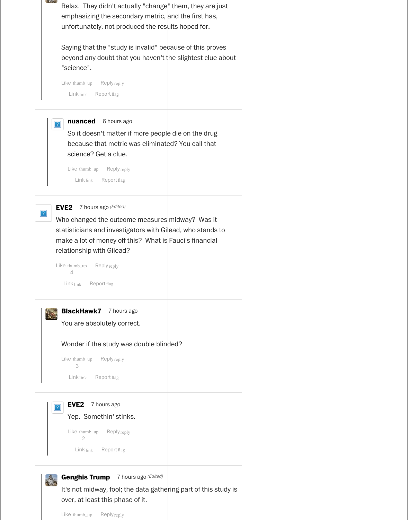Relax. They didn't actually "change" them, they are just emphasizing the secondary metric, and the first has, unfortunately, not produced the results hoped for.

Saying that the "study is invalid" because of this proves beyond any doubt that you haven't the slightest clue about "science".

Like thumb\_up Reply reply

Link link Report flag



Barrell L

| Like thumb $up$ | Reply reply               |
|-----------------|---------------------------|
|                 |                           |
|                 | $Link$ $line$ Report flag |

Who changed the outcome measures midway? Was it statisticians and investigators with Gilead, who stands to make a lot of money off this? What is Fauci's financial relationship with Gilead?

So it doesn't matter if more people die on the drug because that metric was eliminated? You call that science? Get a clue.

Like thumb\_up Reply reply Link link Report flag



**EVE2** 7 hours ago (Edited)

6 hours ago **nuanced**

You are absolutely correct.



Wonder if the study was double blinded?

| Like thumb_up Reply reply<br>3<br>$Link$ $line$ Report flag                                                                                      |  |
|--------------------------------------------------------------------------------------------------------------------------------------------------|--|
| <b>EVE2</b> 7 hours ago<br>$\left  \cdot \right\rangle$<br>Yep. Somethin' stinks.                                                                |  |
| Like thumb_up Reply reply<br>$\overline{2}$<br>$Link$ $line$ Report flag                                                                         |  |
| <b>Genghis Trump</b> 7 hours ago (Edited)<br>It's not midway, fool; the data gathering part of this study is<br>over, at least this phase of it. |  |

Like thumb\_up Reply reply